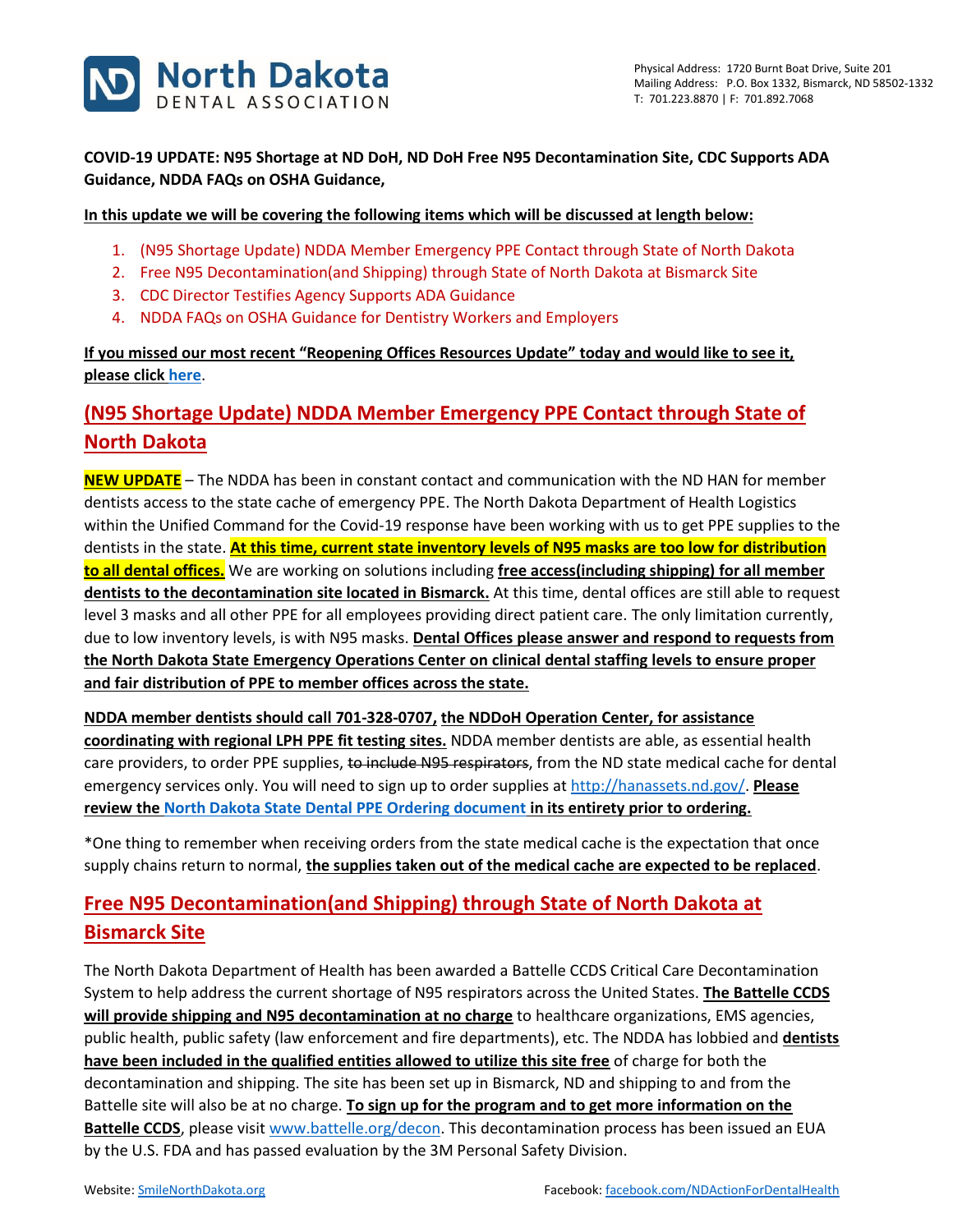

**COVID-19 UPDATE: N95 Shortage at ND DoH, ND DoH Free N95 Decontamination Site, CDC Supports ADA Guidance, NDDA FAQs on OSHA Guidance,**

#### **In this update we will be covering the following items which will be discussed at length below:**

- 1. (N95 Shortage Update) NDDA Member Emergency PPE Contact through State of North Dakota
- 2. Free N95 Decontamination(and Shipping) through State of North Dakota at Bismarck Site
- 3. CDC Director Testifies Agency Supports ADA Guidance
- 4. NDDA FAQs on OSHA Guidance for Dentistry Workers and Employers

**If you missed our most recent "Reopening Offices Resources Update" today and would like to see it, please click [here](https://www.smilenorthdakota.org/docs/librariesprovider39/default-document-library/covid-19-may-15-2020-update.pdf?sfvrsn=2)**.

# **(N95 Shortage Update) NDDA Member Emergency PPE Contact through State of North Dakota**

**NEW UPDATE** – The NDDA has been in constant contact and communication with the ND HAN for member dentists access to the state cache of emergency PPE. The North Dakota Department of Health Logistics within the Unified Command for the Covid-19 response have been working with us to get PPE supplies to the dentists in the state. **At this time, current state inventory levels of N95 masks are too low for distribution to all dental offices.** We are working on solutions including **free access(including shipping) for all member dentists to the decontamination site located in Bismarck.** At this time, dental offices are still able to request level 3 masks and all other PPE for all employees providing direct patient care. The only limitation currently, due to low inventory levels, is with N95 masks. **Dental Offices please answer and respond to requests from the North Dakota State Emergency Operations Center on clinical dental staffing levels to ensure proper and fair distribution of PPE to member offices across the state.**

**NDDA member dentists should call 701-328-0707, the NDDoH Operation Center, for assistance coordinating with regional LPH PPE fit testing sites.** NDDA member dentists are able, as essential health care providers, to order PPE supplies, to include N95 respirators, from the ND state medical cache for dental emergency services only. You will need to sign up to order supplies a[t http://hanassets.nd.gov/.](http://hanassets.nd.gov/) **Please review the [North Dakota State Dental PPE Ordering document](https://sitefinity.ada.org/docs/librariesprovider39/north-dakota/covid-19-april-10-2020-update-ppe.pdf?sfvrsn=2) in its entirety prior to ordering.**

\*One thing to remember when receiving orders from the state medical cache is the expectation that once supply chains return to normal, **the supplies taken out of the medical cache are expected to be replaced**.

## **Free N95 Decontamination(and Shipping) through State of North Dakota at Bismarck Site**

The North Dakota Department of Health has been awarded a Battelle CCDS Critical Care Decontamination System to help address the current shortage of N95 respirators across the United States. **The Battelle CCDS will provide shipping and N95 decontamination at no charge** to healthcare organizations, EMS agencies, public health, public safety (law enforcement and fire departments), etc. The NDDA has lobbied and **dentists have been included in the qualified entities allowed to utilize this site free** of charge for both the decontamination and shipping. The site has been set up in Bismarck, ND and shipping to and from the Battelle site will also be at no charge. **To sign up for the program and to get more information on the Battelle CCDS**, please visit [www.battelle.org/decon.](http://www.battelle.org/decon) This decontamination process has been issued an EUA by the U.S. FDA and has passed evaluation by the 3M Personal Safety Division.